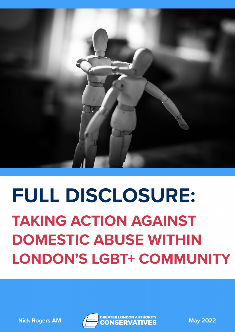

# FULL DISCLOSURE: **TAKING ACTION AGAINST DOMESTIC ABUSE WITHIN LONDON'S LGBT+ COMMUNITY**

**Nick Rogers AM** 



**May 2022**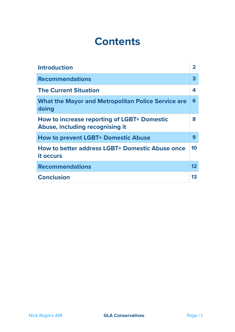# **Contents**

| <b>Introduction</b>                                                                   | $\overline{\mathbf{2}}$ |
|---------------------------------------------------------------------------------------|-------------------------|
| <b>Recommendations</b>                                                                | 3                       |
| <b>The Current Situation</b>                                                          | 4                       |
| <b>What the Mayor and Metropolitan Police Service are</b><br>doing                    | 6                       |
| <b>How to increase reporting of LGBT+ Domestic</b><br>Abuse, including recognising it | 8                       |
| <b>How to prevent LGBT+ Domestic Abuse</b>                                            | 9                       |
| <b>How to better address LGBT+ Domestic Abuse once</b><br>it occurs                   | 10                      |
| <b>Recommendations</b>                                                                | 12                      |
| <b>Conclusion</b>                                                                     | 13                      |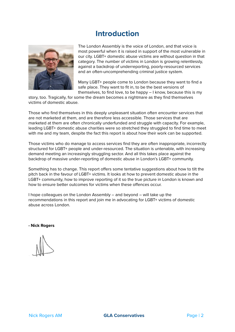#### **Introduction**



The London Assembly is the voice of London, and that voice is most powerful when it is raised in support of the most vulnerable in our city. LGBT+ domestic abuse victims are without question in that category. The number of victims in London is growing relentlessly, against a backdrop of underreporting, poorly-resourced services and an often-uncomprehending criminal justice system.

Many LGBT+ people come to London because they want to find a safe place. They want to fit in, to be the best versions of themselves, to find love, to be happy – I know, because this is my

story, too. Tragically, for some the dream becomes a nightmare as they find themselves victims of domestic abuse.

Those who find themselves in this deeply unpleasant situation often encounter services that are not marketed at them, and are therefore less accessible. Those services that are marketed at them are often chronically underfunded and struggle with capacity. For example, leading LGBT+ domestic abuse charities were so stretched they struggled to find time to meet with me and my team, despite the fact this report is about how their work can be supported.

Those victims who do manage to access services find they are often inappropriate, incorrectly structured for LGBT+ people and under-resourced. The situation is untenable, with increasing demand meeting an increasingly struggling sector. And all this takes place against the backdrop of massive under-reporting of domestic abuse in London's LGBT+ community.

Something has to change. This report offers some tentative suggestions about how to tilt the pitch back in the favour of LGBT+ victims. It looks at how to prevent domestic abuse in the LGBT+ community, how to improve reporting of it so the true picture in London is known and how to ensure better outcomes for victims when these offences occur.

I hope colleagues on the London Assembly – and beyond – will take up the recommendations in this report and join me in advocating for LGBT+ victims of domestic abuse across London.

**- Nick Rogers**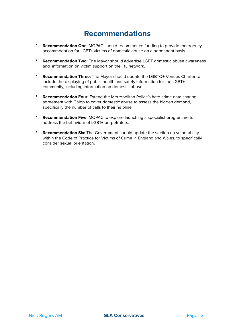### **Recommendations**

- **Recommendation One**: MOPAC should recommence funding to provide emergency accommodation for LGBT+ victims of domestic abuse on a permanent basis.
- **Recommendation Two:** The Mayor should advertise LGBT domestic abuse awareness and information on victim support on the TfL network.
- **Recommendation Three:** The Mayor should update the LGBTQ+ Venues Charter to include the displaying of public health and safety information for the LGBT+ community, including information on domestic abuse.
- **Recommendation Four:** Extend the Metropolitan Police's hate crime data sharing agreement with Galop to cover domestic abuse to assess the hidden demand, specifically the number of calls to their helpline.
- **Recommendation Five:** MOPAC to explore launching a specialist programme to address the behaviour of LGBT+ perpetrators.
- **Recommendation Six:** The Government should update the section on vulnerability within the Code of Practice for Victims of Crime in England and Wales, to specifically consider sexual orientation.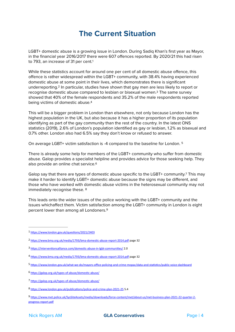# <span id="page-4-13"></span><span id="page-4-11"></span><span id="page-4-9"></span>**The Current Situation**

LGBT+ domestic abuse is a growing issue in London. During Sadiq Khan's first year as Mayor, in the financial year 2016/2017 there were 607 offences reported. By 2020/21 this had risen to 793, an increase of 3[1](#page-4-0) per cent.<sup>1</sup>

<span id="page-4-10"></span>While these statistics account for around one per cent of all domestic abuse offence, this offence is rather widespread within the LGBT+ community, with 38.4% having experienced domestic abuse at some point in their lives, which demonstrates there is significant underreporting.<sup>[2](#page-4-1)</sup> In particular, studies have shown that gay men are less likely to report or recognise domestic abuse compared to lesbian or bisexual women[.](#page-4-2)<sup>[3](#page-4-2)</sup> The same survey showed that 40% of the female respondents and 35.2% of the male respondents reported being victims of domestic abuse[.4](#page-4-3)

<span id="page-4-12"></span>This will be a bigger problem in London than elsewhere, not only because London has the highest population in the UK, but also because it has a higher proportion of its population identifying as part of the gay community than the rest of the country. In the latest ONS statistics (2019), 2.6% of London's population identified as gay or lesbian, 1.2% as bisexual and 0.7% other. London also had 6.5% say they don't know or refused to answer.

On average LGBT+ victim satisfaction is -4 compared to the baseline for London. [5](#page-4-4)

<span id="page-4-14"></span>There is already some help for members of the LGBT+ community who suffer from domestic abuse. Galop provides a specialist helpline and provides advice for those seeking help. They also provide an online chat service.<sup>6</sup>

<span id="page-4-15"></span>Galop say that there are types of domestic abuse specific to the LGBT+ community.<sup>[7](#page-4-6)</sup> This may make it harder to identify LGBT+ domestic abuse because the signs may be different, and those who have worked with domestic abuse victims in the heterosexual community may not immediately recognise these. [8](#page-4-7)

<span id="page-4-17"></span><span id="page-4-16"></span>This leads onto the wider issues of the police working with the LGBT+ community and the issues whichaffect them. Victim satisfaction among the LGBT+ community in London is eight percent lower than among all Londoners[.9](#page-4-8)

<span id="page-4-0"></span><https://www.london.gov.uk/questions/2021/2403> [1](#page-4-9)

<span id="page-4-1"></span><https://www.bma.org.uk/media/1793/bma-domestic-abuse-report-2014.pdf> page 32 [2](#page-4-10)

<span id="page-4-2"></span><https://interventionsalliance.com/domestic-abuse-in-lgbt-communities/> 2.0 [3](#page-4-11)

<span id="page-4-3"></span><https://www.bma.org.uk/media/1793/bma-domestic-abuse-report-2014.pdf> page 32 [4](#page-4-12)

<span id="page-4-4"></span><https://www.london.gov.uk/what-we-do/mayors-office-policing-and-crime-mopac/data-and-statistics/public-voice-dashboard> [5](#page-4-13)

<span id="page-4-5"></span><https://galop.org.uk/types-of-abuse/domestic-abuse/> [6](#page-4-14)

<span id="page-4-6"></span><https://galop.org.uk/types-of-abuse/domestic-abuse/> [7](#page-4-15)

<span id="page-4-7"></span><sup>8</sup> <https://www.london.gov.uk/publications/police-and-crime-plan-2021-25> 5.4

<span id="page-4-8"></span>[https://www.met.police.uk/SysSiteAssets/media/downloads/force-content/met/about-us/met-business-plan-2021-22-quarter-2-](https://www.met.police.uk/SysSiteAssets/media/downloads/force-content/met/about-us/met-business-plan-2021-22-quarter-2-progress-report.pdf) [9](#page-4-17) [progress-report.pdf](https://www.met.police.uk/SysSiteAssets/media/downloads/force-content/met/about-us/met-business-plan-2021-22-quarter-2-progress-report.pdf)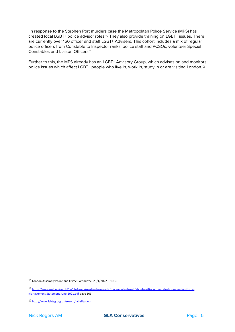<span id="page-5-3"></span> In response to the Stephen Port murders case the Metropolitan Police Service (MPS) has createdlocal LGBT+ police advisor roles.<sup>[10](#page-5-0)</sup> They also provide training on LGBT+ issues. There are currently over 160 officer and staff LGBT+ Advisers. This cohort includes a mix of regular police officers from Constable to Inspector ranks, police staff and PCSOs, volunteer Special Constables and Liaison Officers.[11](#page-5-1)

<span id="page-5-5"></span><span id="page-5-4"></span>Further to this, the MPS already has an LGBT+ Advisory Group, which advises on and monitors police issues which affect LGBT+ people who live in, work in, study in or are visiting London.[12](#page-5-2)

<span id="page-5-0"></span> $10$  London Assembly Police and Crime Committee,  $25/1/2022 - 10:30$ 

<span id="page-5-1"></span>[https://www.met.police.uk/SysSiteAssets/media/downloads/force-content/met/about-us/Background-to-business-plan-Force-](https://www.met.police.uk/SysSiteAssets/media/downloads/force-content/met/about-us/Background-to-business-plan-Force-Management-Statement-June-2021.pdf) [11](#page-5-4) [Management-Statement-June-2021.pdf page 109](https://www.met.police.uk/SysSiteAssets/media/downloads/force-content/met/about-us/Background-to-business-plan-Force-Management-Statement-June-2021.pdf) 

<span id="page-5-2"></span><sup>12</sup> <http://www.lgbtag.org.uk/search/label/group>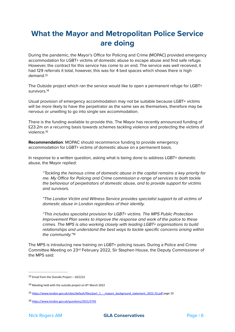# **What the Mayor and Metropolitan Police Service are doing**

During the pandemic, the Mayor's Office for Policing and Crime (MOPAC) provided emergency accommodation for LGBT+ victims of domestic abuse to escape abuse and find safe refuge. However, the contract for this service has come to an end. The service was well received, it had 129 referrals it total, however, this was for 4 bed spaces which shows there is high demand[.13](#page-6-0)

<span id="page-6-5"></span><span id="page-6-4"></span>The Outside project which ran the service would like to open a permanent refuge for LGBT+ survivors.[14](#page-6-1)

Usual provision of emergency accommodation may not be suitable because LGBT+ victims will be more likely to have the perpetrator as the same sex as themselves, therefore may be nervous or unwilling to go into single sex accommodation.

<span id="page-6-6"></span>There is the funding available to provide this. The Mayor has recently announced funding of £23.2m on a recurring basis towards schemes tackling violence and protecting the victims of violence.[15](#page-6-2)

**Recommendation**: MOPAC should recommence funding to provide emergency accommodation for LGBT+ victims of domestic abuse on a permanent basis.

In response to a written question, asking what is being done to address LGBT+ domestic abuse, the Mayor replied:

*"Tackling the heinous crime of domestic abuse in the capital remains a key priority for me. My O*ffi*ce for Policing and Crime commission a range of services to both tackle the behaviour of perpetrators of domestic abuse, and to provide support for victims and survivors.* 

*"The London Victim and Witness Service provides specialist support to all victims of domestic abuse in London regardless of their identity.* 

<span id="page-6-7"></span>*"This includes specialist provision for LGBT+ victims. The MPS Public Protection Improvement Plan seeks to improve the response and work of the police to these crimes. The MPS is also working closely with leading LGBT+ organisations to build relationships and understand the best ways to tackle specific concerns arising within the community.["16](#page-6-3)*

The MPS is introducing new training on LGBT+ policing issues. During a Police and Crime Committee Meeting on 23rd February 2022, Sir Stephen House, the Deputy Commissioner of the MPS said:

<span id="page-6-0"></span>[<sup>13</sup>](#page-6-4) Email from the Outside Project  $-10/2/22$ 

<span id="page-6-1"></span> $14$  Meeting held with the outside project on 8<sup>th</sup> March 2022

<span id="page-6-2"></span>[<sup>15</sup>](#page-6-6) https://www.london.gov.uk/sites/default/files/part\_1 - mayors\_background\_statement\_2022-23.pdf page 10

<span id="page-6-3"></span><https://www.london.gov.uk/questions/2021/3745> *[16](#page-6-7)*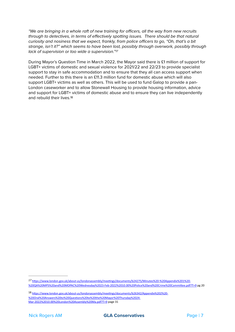*"We are bringing in a whole raft of new training for o*ffi*cers, all the way from new recruits through to detectives, in terms of e*ff*ectively spotting issues. There should be that natural curiosity and nosiness that we expect, frankly, from police o*ffi*cers to go, "Oh, that's a bit strange, isn't it?" which seems to have been lost, possibly through overwork, possibly through lack of supervision or too wide a supervision.["17](#page-7-0)*

<span id="page-7-3"></span><span id="page-7-2"></span>During Mayor's Question Time in March 2022, the Mayor said there is £1 million of support for LGBT+ victims of domestic and sexual violence for 2021/22 and 22/23 to provide specialist support to stay in safe accommodation and to ensure that they all can access support when needed. Further to this there is an £11.3 million fund for domestic abuse which will also support LGBT+ victims as well as others. This will be used to fund Galop to provide a pan-London caseworker and to allow Stonewall Housing to provide housing information, advice and support for LGBT+ victims of domestic abuse and to ensure they can live independently and rebuild their lives.[18](#page-7-1)

<span id="page-7-0"></span>[https://www.london.gov.uk/about-us/londonassembly/meetings/documents/b24275/Minutes%20-%20Appendix%201%20-](https://www.london.gov.uk/about-us/londonassembly/meetings/documents/b24275/Minutes%2520-%2520Appendix%25201%2520-%2520QA%2520MPS%2520and%2520MOPAC%2520Wednesday%252023-Feb-2022%252010.00%2520Police%2520and%2520Crime%2520Committee.pdf?T=9) *[17](#page-7-2)* [%20QA%20MPS%20and%20MOPAC%20Wednesday%2023-Feb-2022%2010.00%20Police%20and%20Crime%20Committee.pdf?T=9](https://www.london.gov.uk/about-us/londonassembly/meetings/documents/b24275/Minutes%2520-%2520Appendix%25201%2520-%2520QA%2520MPS%2520and%2520MOPAC%2520Wednesday%252023-Feb-2022%252010.00%2520Police%2520and%2520Crime%2520Committee.pdf?T=9) pg 20

<span id="page-7-1"></span>[https://www.london.gov.uk/about-us/londonassembly/meetings/documents/b26342/Appendix%202%20-](https://www.london.gov.uk/about-us/londonassembly/meetings/documents/b26342/Appendix%25202%2520-%2520Oral%2520Answers%2520to%2520Questions%2520to%2520the%2520Mayor%2520Thursday%252024-Mar-2022%252010.00%2520London%2520Assembly%2520Ma.pdf?T=9) [18](#page-7-3) [%20Oral%20Answers%20to%20Questions%20to%20the%20Mayor%20Thursday%2024-](https://www.london.gov.uk/about-us/londonassembly/meetings/documents/b26342/Appendix%25202%2520-%2520Oral%2520Answers%2520to%2520Questions%2520to%2520the%2520Mayor%2520Thursday%252024-Mar-2022%252010.00%2520London%2520Assembly%2520Ma.pdf?T=9) [Mar-2022%2010.00%20London%20Assembly%20Ma.pdf?T=9](https://www.london.gov.uk/about-us/londonassembly/meetings/documents/b26342/Appendix%25202%2520-%2520Oral%2520Answers%2520to%2520Questions%2520to%2520the%2520Mayor%2520Thursday%252024-Mar-2022%252010.00%2520London%2520Assembly%2520Ma.pdf?T=9) page 31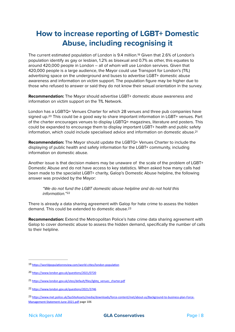# <span id="page-8-5"></span>**How to increase reporting of LGBT+ Domestic Abuse, including recognising it**

The current estimated population of London is 9.4 million.<sup>[19](#page-8-0)</sup> Given that 2.6% of London's population identify as gay or lesbian, 1.2% as bisexual and 0.7% as other, this equates to around 420,000 people in London – all of whom will use London servives. Given that 420,000 people is a large audience, the Mayor could use Transport for London's (TfL) advertising space on the underground and buses to advertise LGBT+ domestic abuse awareness and information on victim support. The population figure may be higher due to those who refused to answer or said they do not know their sexual orientation in the survey.

**Recommendation:** The Mayor should advertise LGBT+ domestic abuse awareness and information on victim support on the TfL Network.

<span id="page-8-6"></span>London has a LGBTQ+ Venues Charter for which 28 venues and three pub companies have signed up.<sup>20</sup> This could be a good way to share important information in LGBT+ venues[.](#page-8-1) Part of the charter encourages venues to display LGBTQ+ magazines, literature and posters. This could be expanded to encourage them to display important LGBT+ health and public safety information, which could include specialised advice and information on domestic abuse[.21](#page-8-2)

**Recommendation:** The Mayor should update the LGBTQ+ Venues Charter to include the displaying of public health and safety information for the LGBT+ community, including information on domestic abuse.

Another issue is that decision makers may be unaware of the scale of the problem of LGBT+ Domestic Abuse and do not have access to key statistics. When asked how many calls had been made to the specialist LGBT+ charity, Galop's Domestic Abuse helpline, the following answer was provided by the Mayor:

<span id="page-8-9"></span><span id="page-8-8"></span><span id="page-8-7"></span>*"We do not fund the LGBT domestic abuse helpline and do not hold this information."*[22](#page-8-3)

There is already a data sharing agreement with Galop for hate crime to assess the hidden demand. This could be extended to domestic abuse.[23](#page-8-4)

**Recommendation:** Extend the Metropolitan Police's hate crime data sharing agreement with Galop to cover domestic abuse to assess the hidden demand, specifically the number of calls to their helpline.

<span id="page-8-0"></span><sup>19</sup> <https://worldpopulationreview.com/world-cities/london-population>

<span id="page-8-1"></span><sup>20</sup> <https://www.london.gov.uk/questions/2021/0720>

<span id="page-8-2"></span><sup>21</sup> [https://www.london.gov.uk/sites/default/files/lgbtq\\_venues\\_charter.pdf](https://www.london.gov.uk/sites/default/files/lgbtq_venues_charter.pdf)

<span id="page-8-3"></span><sup>22</sup> <https://www.london.gov.uk/questions/2021/3746>

<span id="page-8-4"></span><sup>23</sup> [https://www.met.police.uk/SysSiteAssets/media/downloads/force-content/met/about-us/Background-to-business-plan-Force-](https://www.met.police.uk/SysSiteAssets/media/downloads/force-content/met/about-us/Background-to-business-plan-Force-Management-Statement-June-2021.pdf) [Management-Statement-June-2021.pdf page 106](https://www.met.police.uk/SysSiteAssets/media/downloads/force-content/met/about-us/Background-to-business-plan-Force-Management-Statement-June-2021.pdf)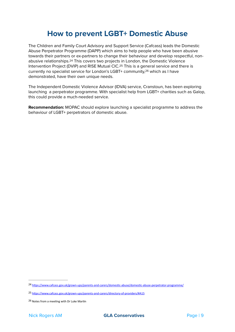### <span id="page-9-5"></span><span id="page-9-4"></span><span id="page-9-3"></span>**How to prevent LGBT+ Domestic Abuse**

The Children and Family Court Advisory and Support Service (Cafcass) leads the Domestic Abuse Perpetrator Programme (DAPP) which aims to help people who have been abusive towards their partners or ex-partners to change their behaviour and develop respectful, non-abusive relationships.<sup>[24](#page-9-0)</sup> This covers two projects in London, the Domestic Violence Intervention Project (DVIP) and RISE Mutual CIC.<sup>[25](#page-9-1)</sup> This is a general service and there is currently no specialist service for London's LGBT+ community.<sup>[26](#page-9-2)</sup> which as I have demonstrated, have their own unique needs.

The Independent Domestic Violence Advisor (IDVA) service, Cranstoun, has been exploring launching a perpetrator programme. With specialist help from LGBT+ charities such as Galop, this could provide a much-needed service.

**Recommendation:** MOPAC should explore launching a specialist programme to address the behaviour of LGBT+ perpetrators of domestic abuse.

<span id="page-9-0"></span><sup>24</sup> <https://www.cafcass.gov.uk/grown-ups/parents-and-carers/domestic-abuse/domestic-abuse-perpetrator-programme/>

<span id="page-9-1"></span><https://www.cafcass.gov.uk/grown-ups/parents-and-carers/directory-of-providers/#A15> [25](#page-9-4)

<span id="page-9-2"></span>[<sup>26</sup>](#page-9-5) Notes from a meeting with Dr Luke Martin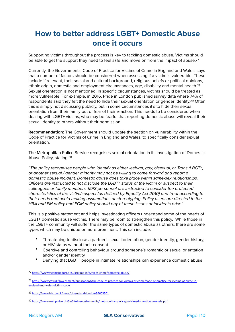# <span id="page-10-4"></span>**How to better address LGBT+ Domestic Abuse once it occurs**

Supporting victims throughout the process is key to tackling domestic abuse. Victims should be able to get the support they need to feel safe and move on from the impact of abuse.<sup>[27](#page-10-0)</sup>

<span id="page-10-6"></span><span id="page-10-5"></span>Currently, the Government's Code of Practice for Victims of Crime in England and Wales, says that a number of factors should be considered when assessing if a victim is vulnerable. These include if relevant, their social and cultural background, religious beliefs or political opinions, ethnic origin, domestic and employment circumstances, age, disability and mental health[.28](#page-10-1) Sexual orientation is not mentioned. In specific circumstances, victims should be treated as more vulnerable. For example, in 2016, Pride in London published survey data where 74% of respondents said they felt the need to hide their sexual orientation or gender identity.<sup>[29](#page-10-2)</sup> Often this is simply not discussing publicly, but in some circumstances it's to hide their sexual orientation from their family out of fear of their reaction. This needs to be considered when dealing with LGBT+ victims, who may be fearful that reporting domestic abuse will reveal their sexual identity to others without their permission.

**Recommendation:** The Government should update the section on vulnerability within the Code of Practice for Victims of Crime in England and Wales, to specifically consider sexual orientation.

<span id="page-10-7"></span>The Metropolitan Police Service recognises sexual orientation in its Investigation of Domestic Abuse Policy, stating:[30](#page-10-3)

*"The policy recognises people who identify as either lesbian, gay, bisexual, or Trans (LBGT+) or another sexual / gender minority may not be willing to come forward and report a domestic abuse incident. Domestic abuse does take place within same-sex relationships. O*ffi*cers are instructed to not disclose the LGBT+ status of the victim or suspect to their colleagues or family members. MPS personnel are instructed to consider the protected characteristics of the victim/suspect (as defined by Equality Act 2010) and treat according to their needs and avoid making assumptions or stereotyping. Policy users are directed to the HBA and FM policy and FGM policy should any of these issues or incidents arise"*

This is a positive statement and helps investigating officers understand some of the needs of LGBT+ domestic abuse victims. There may be room to strengthen this policy. While those in the LGBT+ community will suffer the same types of domestic abuse as others, there are some types which may be unique or more prominent. This can include:

- Threatening to disclose a partner's sexual orientation, gender identity, gender history, or HIV status without their consent
- Coercive and controlling behaviour around someone's romantic or sexual orientation and/or gender identity
- Denying that LGBT+ people in intimate relationships can experience domestic abuse

<span id="page-10-0"></span><sup>27</sup> <https://www.victimsupport.org.uk/crime-info/types-crime/domestic-abuse/>

<span id="page-10-1"></span><sup>28</sup> [https://www.gov.uk/government/publications/the-code-of-practice-for-victims-of-crime/code-of-practice-for-victims-of-crime-in](https://www.gov.uk/government/publications/the-code-of-practice-for-victims-of-crime/code-of-practice-for-victims-of-crime-in-england-and-wales-victims-code) [england-and-wales-victims-code](https://www.gov.uk/government/publications/the-code-of-practice-for-victims-of-crime/code-of-practice-for-victims-of-crime-in-england-and-wales-victims-code)

<span id="page-10-2"></span><https://www.bbc.co.uk/news/uk-england-london-36603501> [29](#page-10-6)

<span id="page-10-3"></span><sup>30</sup> <https://www.met.police.uk/SysSiteAssets/foi-media/metropolitan-police/policies/domestic-abuse-eia.pdf>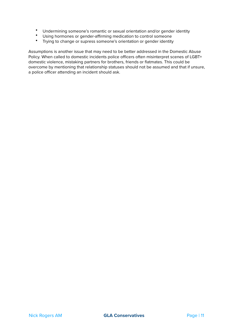- Undermining someone's romantic or sexual orientation and/or gender identity<br>• Ilsing bormones or gender-affirming medication to control someone
- Using hormones or gender-affirming medication to control someone
- Trying to change or supress someone's orientation or gender identity

Assumptions is another issue that may need to be better addressed in the Domestic Abuse Policy. When called to domestic incidents police officers often misinterpret scenes of LGBT+ domestic violence, mistaking partners for brothers, friends or flatmates. This could be overcome by mentioning that relationship statuses should not be assumed and that if unsure, a police officer attending an incident should ask.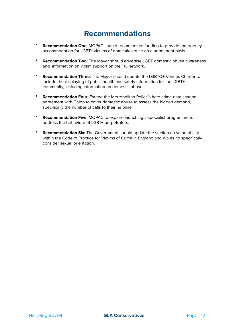### **Recommendations**

- **Recommendation One**: MOPAC should recommence funding to provide emergency accommodation for LGBT+ victims of domestic abuse on a permanent basis.
- **Recommendation Two:** The Mayor should advertise LGBT domestic abuse awareness and information on victim support on the TfL network.
- **Recommendation Three:** The Mayor should update the LGBTQ+ Venues Charter to include the displaying of public health and safety information for the LGBT+ community, including information on domestic abuse.
- **Recommendation Four:** Extend the Metropolitan Police's hate crime data sharing agreement with Galop to cover domestic abuse to assess the hidden demand, specifically the number of calls to their helpline.
- **Recommendation Five:** MOPAC to explore launching a specialist programme to address the behaviour of LGBT+ perpetrators.
- **Recommendation Six:** The Government should update the section on vulnerability within the Code of Practice for Victims of Crime in England and Wales, to specifically consider sexual orientation.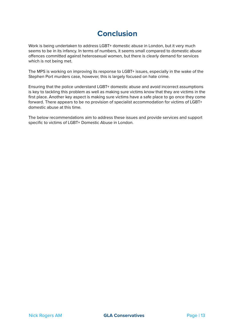# **Conclusion**

Work is being undertaken to address LGBT+ domestic abuse in London, but it very much seems to be in its infancy. In terms of numbers, it seems small compared to domestic abuse offences committed against heterosexual women, but there is clearly demand for services which is not being met.

The MPS is working on improving its response to LGBT+ issues, especially in the wake of the Stephen Port murders case, however, this is largely focused on hate crime.

Ensuring that the police understand LGBT+ domestic abuse and avoid incorrect assumptions is key to tackling this problem as well as making sure victims know that they are victims in the first place. Another key aspect is making sure victims have a safe place to go once they come forward. There appears to be no provision of specialist accommodation for victims of LGBT+ domestic abuse at this time.

The below recommendations aim to address these issues and provide services and support specific to victims of LGBT+ Domestic Abuse in London.